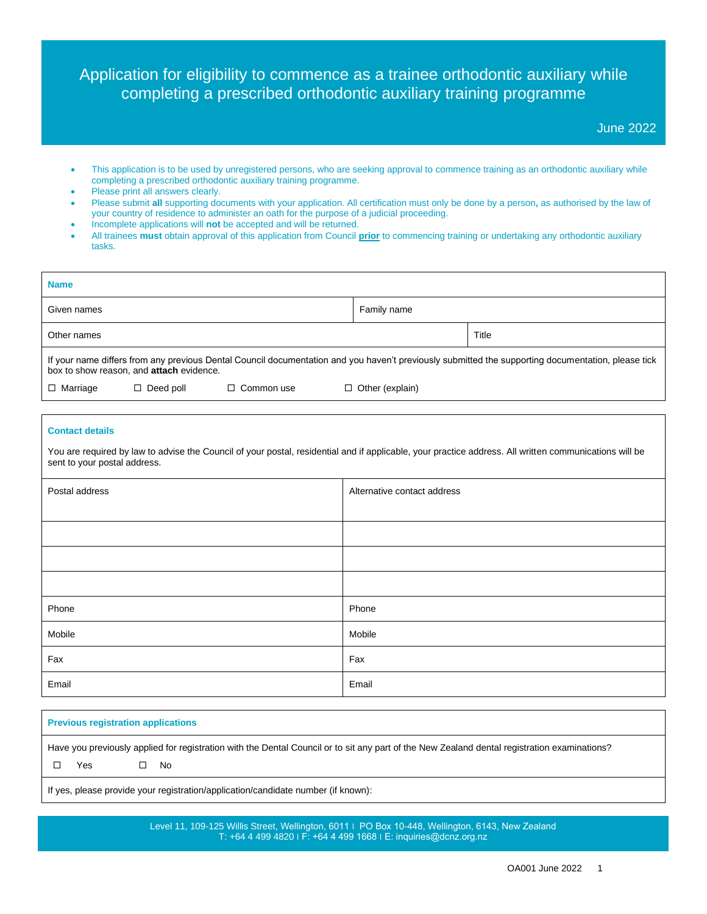# Application for eligibility to commence as a trainee orthodontic auxiliary while completing a prescribed orthodontic auxiliary training programme

### June 2022

- This application is to be used by unregistered persons, who are seeking approval to commence training as an orthodontic auxiliary while completing a prescribed orthodontic auxiliary training programme.
- Please print all answers clearly.
- Please submit **all** supporting documents with your application. All certification must only be done by a person**,** as authorised by the law of your country of residence to administer an oath for the purpose of a judicial proceeding.
- Incomplete applications will **not** be accepted and will be returned.
- All trainees **must** obtain approval of this application from Council **prior** to commencing training or undertaking any orthodontic auxiliary tasks.

| <b>Name</b>                                                                                                                                                                                    |                  |                   |                        |       |
|------------------------------------------------------------------------------------------------------------------------------------------------------------------------------------------------|------------------|-------------------|------------------------|-------|
| Given names                                                                                                                                                                                    |                  |                   | Family name            |       |
| Other names                                                                                                                                                                                    |                  |                   |                        | Title |
| If your name differs from any previous Dental Council documentation and you haven't previously submitted the supporting documentation, please tick<br>box to show reason, and attach evidence. |                  |                   |                        |       |
| $\Box$ Marriage                                                                                                                                                                                | $\Box$ Deed poll | $\Box$ Common use | $\Box$ Other (explain) |       |

#### **Contact details**

You are required by law to advise the Council of your postal, residential and if applicable, your practice address. All written communications will be sent to your postal address.

| Postal address | Alternative contact address |
|----------------|-----------------------------|
|                |                             |
|                |                             |
|                |                             |
|                |                             |
| Phone          | Phone                       |
| Mobile         | Mobile                      |
| Fax            | Fax                         |
| Email          | Email                       |

| <b>Previous registration applications</b>                                                                                                    |  |  |
|----------------------------------------------------------------------------------------------------------------------------------------------|--|--|
| Have you previously applied for registration with the Dental Council or to sit any part of the New Zealand dental registration examinations? |  |  |
| Yes<br>- No                                                                                                                                  |  |  |
| If yes, please provide your registration/application/candidate number (if known):                                                            |  |  |

Level 11, 109-125 Willis Street, Wellington, 6011 | PO Box 10-448, Wellington, 6143, New Zealand T: +64 4 499 4820 ׀ F: +64 4 499 1668 ׀ E: inquiries@dcnz.org.nz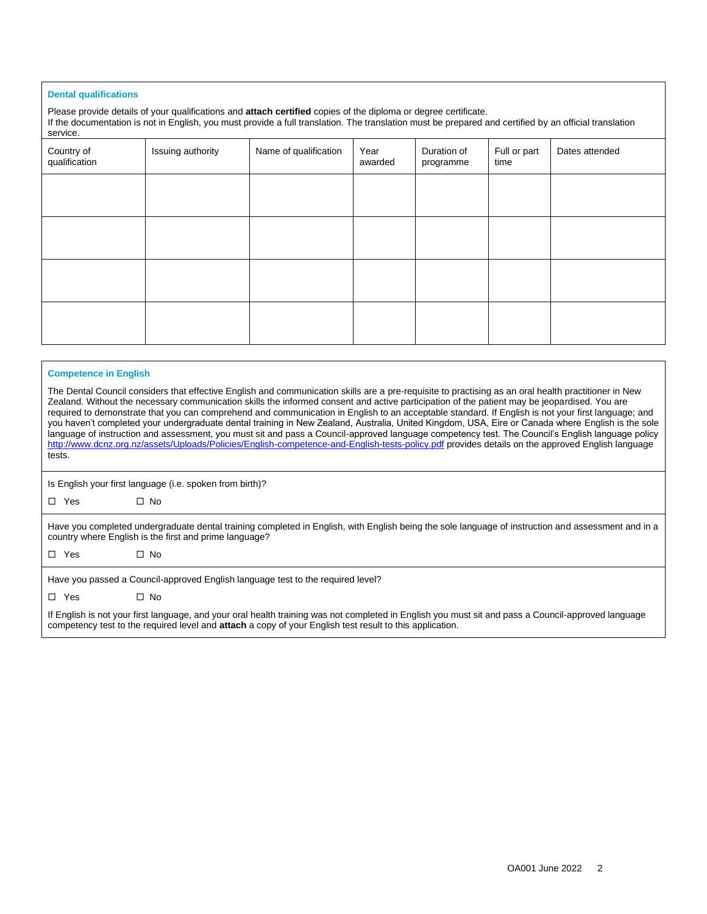#### **Dental qualifications**

Please provide details of your qualifications and **attach certified** copies of the diploma or degree certificate. If the documentation is not in English, you must provide a full translation. The translation must be prepared and certified by an official translation service.

| Country of<br>qualification | Issuing authority | Name of qualification | Year<br>awarded | Duration of<br>programme | Full or part<br>time | Dates attended |
|-----------------------------|-------------------|-----------------------|-----------------|--------------------------|----------------------|----------------|
|                             |                   |                       |                 |                          |                      |                |
|                             |                   |                       |                 |                          |                      |                |
|                             |                   |                       |                 |                          |                      |                |
|                             |                   |                       |                 |                          |                      |                |

#### **Competence in English**

The Dental Council considers that effective English and communication skills are a pre-requisite to practising as an oral health practitioner in New Zealand. Without the necessary communication skills the informed consent and active participation of the patient may be jeopardised. You are required to demonstrate that you can comprehend and communication in English to an acceptable standard. If English is not your first language; and you haven't completed your undergraduate dental training in New Zealand, Australia, United Kingdom, USA, Eire or Canada where English is the sole language of instruction and assessment, you must sit and pass a Council-approved language competency test. The Council's English language policy <http://www.dcnz.org.nz/assets/Uploads/Policies/English-competence-and-English-tests-policy.pdf> provides details on the approved English language tests.

Is English your first language (i.e. spoken from birth)?

 $\square$  No

| Have you completed undergraduate dental training completed in English, with English being the sole language of instruction and assessment and in a |
|----------------------------------------------------------------------------------------------------------------------------------------------------|
| country where English is the first and prime language?                                                                                             |

□ Yes □ No

Have you passed a Council-approved English language test to the required level?

□ Yes □ No

If English is not your first language, and your oral health training was not completed in English you must sit and pass a Council-approved language competency test to the required level and **attach** a copy of your English test result to this application.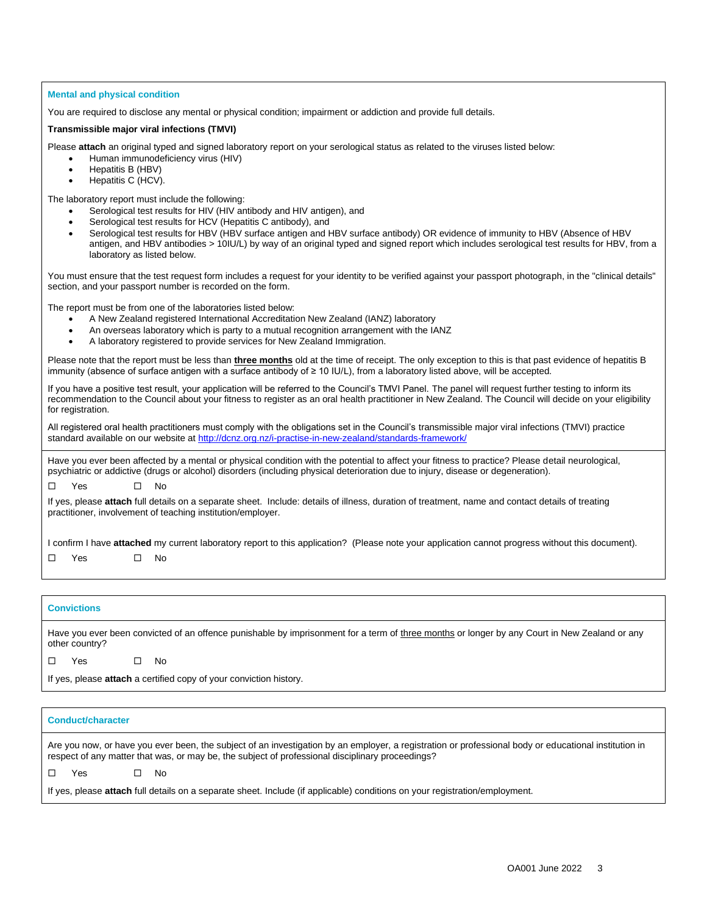#### **Mental and physical condition**

You are required to disclose any mental or physical condition; impairment or addiction and provide full details.

# **Transmissible major viral infections (TMVI)**

Please **attach** an original typed and signed laboratory report on your serological status as related to the viruses listed below:

- Human immunodeficiency virus (HIV)
- Hepatitis B (HBV)
- Hepatitis C (HCV).

The laboratory report must include the following:

- Serological test results for HIV (HIV antibody and HIV antigen), and
- Serological test results for HCV (Hepatitis C antibody), and
- Serological test results for HBV (HBV surface antigen and HBV surface antibody) OR evidence of immunity to HBV (Absence of HBV antigen, and HBV antibodies > 10IU/L) by way of an original typed and signed report which includes serological test results for HBV, from a laboratory as listed below.

You must ensure that the test request form includes a request for your identity to be verified against your passport photograph, in the "clinical details" section, and your passport number is recorded on the form.

The report must be from one of the laboratories listed below:

- A New Zealand registered International Accreditation New Zealand (IANZ) laboratory
- An overseas laboratory which is party to a mutual recognition arrangement with the IANZ
- A laboratory registered to provide services for New Zealand Immigration.

Please note that the report must be less than **three months** old at the time of receipt. The only exception to this is that past evidence of hepatitis B immunity (absence of surface antigen with a surface antibody of ≥ 10 IU/L), from a laboratory listed above, will be accepted.

If you have a positive test result, your application will be referred to the Council's TMVI Panel. The panel will request further testing to inform its recommendation to the Council about your fitness to register as an oral health practitioner in New Zealand. The Council will decide on your eligibility for registration.

All registered oral health practitioners must comply with the obligations set in the Council's transmissible major viral infections (TMVI) practice standard available on our website at [http://dcnz.org.nz/i-practise-in-new-zealand/standards-framework/](https://remote.dcnz.org.nz/OWA/redir.aspx?C=hMx5EyGu50qdfNM7lkEjRhQVLE4BqNIIbqLJcma8D91Z7nFCLFNW28UBrix__0haDMN4v99R7lA.&URL=http%3a%2f%2fdcnz.org.nz%2fi-practise-in-new-zealand%2fstandards-framework%2f)

Have you ever been affected by a mental or physical condition with the potential to affect your fitness to practice? Please detail neurological, psychiatric or addictive (drugs or alcohol) disorders (including physical deterioration due to injury, disease or degeneration).

 $\Box$  Yes  $\Box$  No

If yes, please **attach** full details on a separate sheet. Include: details of illness, duration of treatment, name and contact details of treating practitioner, involvement of teaching institution/employer.

I confirm I have **attached** my current laboratory report to this application? (Please note your application cannot progress without this document). Yes No

#### **Convictions**

Have you ever been convicted of an offence punishable by imprisonment for a term of three months or longer by any Court in New Zealand or any other country?

 $\Box$  Yes  $\Box$  No.

If yes, please **attach** a certified copy of your conviction history.

| <b>Conduct/character</b>                                                                                                                                                                                                                                  |  |  |
|-----------------------------------------------------------------------------------------------------------------------------------------------------------------------------------------------------------------------------------------------------------|--|--|
| Are you now, or have you ever been, the subject of an investigation by an employer, a registration or professional body or educational institution in<br>respect of any matter that was, or may be, the subject of professional disciplinary proceedings? |  |  |
| - No<br>Yes                                                                                                                                                                                                                                               |  |  |
| If yes, please attach full details on a separate sheet. Include (if applicable) conditions on your registration/employment.                                                                                                                               |  |  |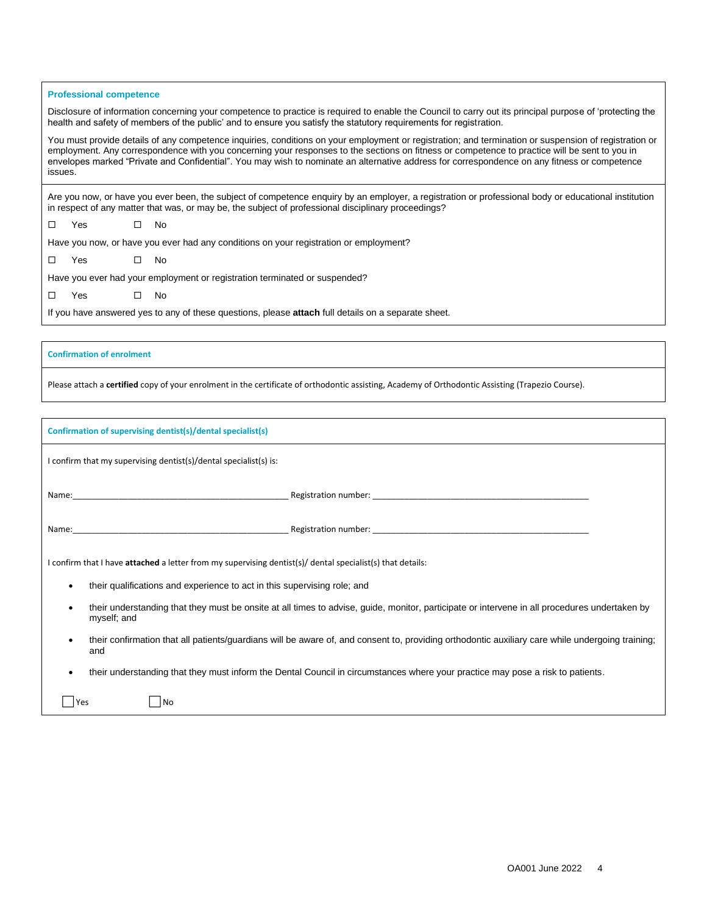#### **Professional competence**

Disclosure of information concerning your competence to practice is required to enable the Council to carry out its principal purpose of 'protecting the health and safety of members of the public' and to ensure you satisfy the statutory requirements for registration.

You must provide details of any competence inquiries, conditions on your employment or registration; and termination or suspension of registration or employment. Any correspondence with you concerning your responses to the sections on fitness or competence to practice will be sent to you in envelopes marked "Private and Confidential". You may wish to nominate an alternative address for correspondence on any fitness or competence issues.

Are you now, or have you ever been, the subject of competence enquiry by an employer, a registration or professional body or educational institution in respect of any matter that was, or may be, the subject of professional disciplinary proceedings?

| $\square$ Yes | $\square$ No |  |  |
|---------------|--------------|--|--|
|               |              |  |  |

Have you now, or have you ever had any conditions on your registration or employment?

|  | Yes |  | No |  |
|--|-----|--|----|--|
|--|-----|--|----|--|

Have you ever had your employment or registration terminated or suspended?

| $\Box$ | Yes | No |
|--------|-----|----|
|        |     |    |

If you have answered yes to any of these questions, please **attach** full details on a separate sheet.

#### **Confirmation of enrolment**

Please attach a **certified** copy of your enrolment in the certificate of orthodontic assisting, Academy of Orthodontic Assisting (Trapezio Course).

| Confirmation of supervising dentist(s)/dental specialist(s)                                                                                                                                                                    |  |  |  |  |
|--------------------------------------------------------------------------------------------------------------------------------------------------------------------------------------------------------------------------------|--|--|--|--|
| I confirm that my supervising dentist(s)/dental specialist(s) is:                                                                                                                                                              |  |  |  |  |
| Name: No. 2006. The Contract of the Contract of the Contract of the Contract of the Contract of the Contract of the Contract of the Contract of the Contract of the Contract of the Contract of the Contract of the Contract o |  |  |  |  |
| Name: No. 2006. The Contract of the Contract of the Contract of the Contract of the Contract of the Contract of the Contract of the Contract of the Contract of the Contract of the Contract of the Contract of the Contract o |  |  |  |  |
| I confirm that I have attached a letter from my supervising dentist(s)/dental specialist(s) that details:                                                                                                                      |  |  |  |  |
| their qualifications and experience to act in this supervising role; and<br>$\bullet$                                                                                                                                          |  |  |  |  |
| their understanding that they must be onsite at all times to advise, guide, monitor, participate or intervene in all procedures undertaken by<br>٠<br>myself; and                                                              |  |  |  |  |
| their confirmation that all patients/guardians will be aware of, and consent to, providing orthodontic auxiliary care while undergoing training;<br>٠<br>and                                                                   |  |  |  |  |
| their understanding that they must inform the Dental Council in circumstances where your practice may pose a risk to patients.<br>٠                                                                                            |  |  |  |  |
| N <sub>o</sub><br>Yes                                                                                                                                                                                                          |  |  |  |  |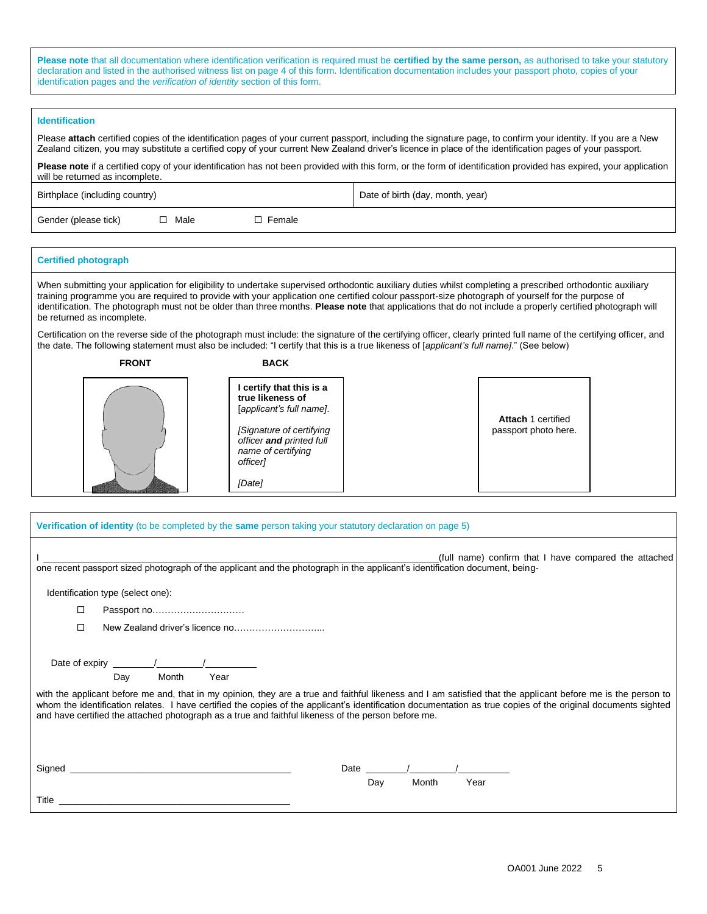**Please note** that all documentation where identification verification is required must be **certified by the same person,** as authorised to take your statutory declaration and listed in the authorised witness list on page 4 of this form. Identification documentation includes your passport photo, copies of your identification pages and the *verification of identity* section of this form.

#### **Identification**

Please **attach** certified copies of the identification pages of your current passport, including the signature page, to confirm your identity. If you are a New Zealand citizen, you may substitute a certified copy of your current New Zealand driver's licence in place of the identification pages of your passport.

Please note if a certified copy of your identification has not been provided with this form, or the form of identification provided has expired, your application will be returned as incomplete.

Birthplace (including country) and the property of the Date of birth (day, month, year)

Gender (please tick)  $\Box$  Male  $\Box$  Female

# **Certified photograph**

When submitting your application for eligibility to undertake supervised orthodontic auxiliary duties whilst completing a prescribed orthodontic auxiliary training programme you are required to provide with your application one certified colour passport-size photograph of yourself for the purpose of identification. The photograph must not be older than three months. **Please note** that applications that do not include a properly certified photograph will be returned as incomplete.

Certification on the reverse side of the photograph must include: the signature of the certifying officer, clearly printed full name of the certifying officer, and the date. The following statement must also be included: "I certify that this is a true likeness of [*applicant's full name]*." (See below)

## **FRONT BACK I certify that this is a true likeness of** [*applicant's full name]*. *[Signature of certifying officer and printed full name of certifying officer] [Date]* **Attach** 1 certified passport photo here.

| <b>Verification of identity</b> (to be completed by the <b>same</b> person taking your statutory declaration on page 5)                                                                                                                                                                                                                                                                                                                                                                                                                                             |                                                       |  |  |
|---------------------------------------------------------------------------------------------------------------------------------------------------------------------------------------------------------------------------------------------------------------------------------------------------------------------------------------------------------------------------------------------------------------------------------------------------------------------------------------------------------------------------------------------------------------------|-------------------------------------------------------|--|--|
| one recent passport sized photograph of the applicant and the photograph in the applicant's identification document, being-                                                                                                                                                                                                                                                                                                                                                                                                                                         | (full name) confirm that I have compared the attached |  |  |
| Identification type (select one):                                                                                                                                                                                                                                                                                                                                                                                                                                                                                                                                   |                                                       |  |  |
| Passport no<br>□                                                                                                                                                                                                                                                                                                                                                                                                                                                                                                                                                    |                                                       |  |  |
| □                                                                                                                                                                                                                                                                                                                                                                                                                                                                                                                                                                   |                                                       |  |  |
| Date of expiry $\frac{1}{\sqrt{1-\frac{1}{2}}}\left\vert \frac{1}{\sqrt{1-\frac{1}{2}}}\right\vert$<br>Month<br>Day<br>Year<br>with the applicant before me and, that in my opinion, they are a true and faithful likeness and I am satisfied that the applicant before me is the person to<br>whom the identification relates. I have certified the copies of the applicant's identification documentation as true copies of the original documents sighted<br>and have certified the attached photograph as a true and faithful likeness of the person before me. |                                                       |  |  |
| Signed _                                                                                                                                                                                                                                                                                                                                                                                                                                                                                                                                                            | Date                                                  |  |  |
|                                                                                                                                                                                                                                                                                                                                                                                                                                                                                                                                                                     | Day<br>Month<br>Year                                  |  |  |
| Title<br>the control of the control of the control of the control of the control of the control of                                                                                                                                                                                                                                                                                                                                                                                                                                                                  |                                                       |  |  |
|                                                                                                                                                                                                                                                                                                                                                                                                                                                                                                                                                                     |                                                       |  |  |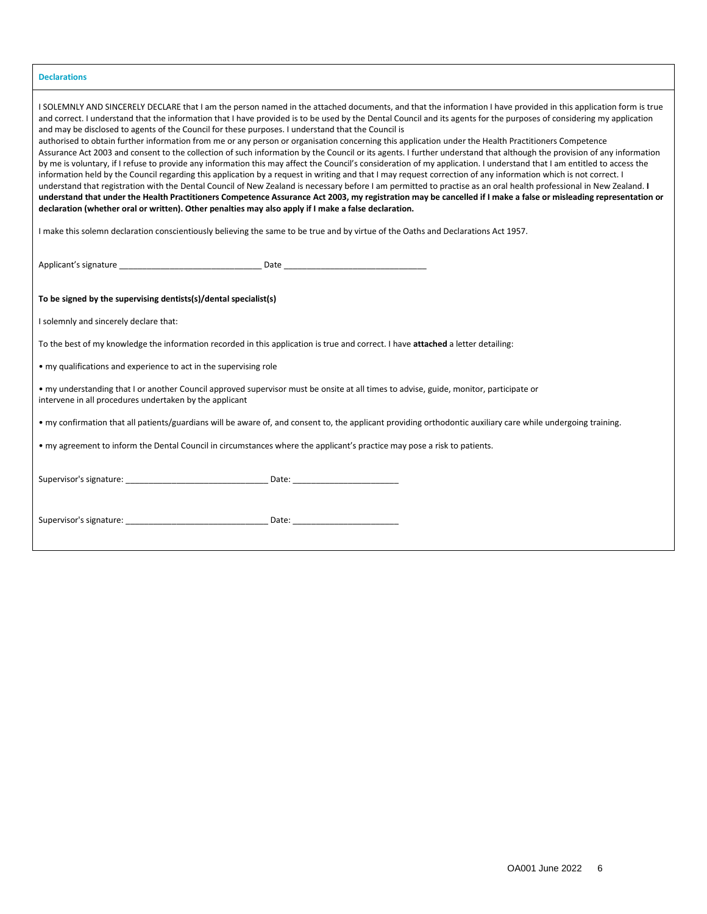| <b>Declarations</b>                                                                                                                                                                                                                                                                                                                                                                                                                                                                                                                                                                                                                                                                                                                                                                                                                                                                                                                                                                                                                                                                                                                                                                                                                                                                                                                                                                                                                                                                                                                                                                |
|------------------------------------------------------------------------------------------------------------------------------------------------------------------------------------------------------------------------------------------------------------------------------------------------------------------------------------------------------------------------------------------------------------------------------------------------------------------------------------------------------------------------------------------------------------------------------------------------------------------------------------------------------------------------------------------------------------------------------------------------------------------------------------------------------------------------------------------------------------------------------------------------------------------------------------------------------------------------------------------------------------------------------------------------------------------------------------------------------------------------------------------------------------------------------------------------------------------------------------------------------------------------------------------------------------------------------------------------------------------------------------------------------------------------------------------------------------------------------------------------------------------------------------------------------------------------------------|
| I SOLEMNLY AND SINCERELY DECLARE that I am the person named in the attached documents, and that the information I have provided in this application form is true<br>and correct. I understand that the information that I have provided is to be used by the Dental Council and its agents for the purposes of considering my application<br>and may be disclosed to agents of the Council for these purposes. I understand that the Council is<br>authorised to obtain further information from me or any person or organisation concerning this application under the Health Practitioners Competence<br>Assurance Act 2003 and consent to the collection of such information by the Council or its agents. I further understand that although the provision of any information<br>by me is voluntary, if I refuse to provide any information this may affect the Council's consideration of my application. I understand that I am entitled to access the<br>information held by the Council regarding this application by a request in writing and that I may request correction of any information which is not correct. I<br>understand that registration with the Dental Council of New Zealand is necessary before I am permitted to practise as an oral health professional in New Zealand. I<br>understand that under the Health Practitioners Competence Assurance Act 2003, my registration may be cancelled if I make a false or misleading representation or<br>declaration (whether oral or written). Other penalties may also apply if I make a false declaration. |
| I make this solemn declaration conscientiously believing the same to be true and by virtue of the Oaths and Declarations Act 1957.                                                                                                                                                                                                                                                                                                                                                                                                                                                                                                                                                                                                                                                                                                                                                                                                                                                                                                                                                                                                                                                                                                                                                                                                                                                                                                                                                                                                                                                 |
|                                                                                                                                                                                                                                                                                                                                                                                                                                                                                                                                                                                                                                                                                                                                                                                                                                                                                                                                                                                                                                                                                                                                                                                                                                                                                                                                                                                                                                                                                                                                                                                    |
| To be signed by the supervising dentists(s)/dental specialist(s)                                                                                                                                                                                                                                                                                                                                                                                                                                                                                                                                                                                                                                                                                                                                                                                                                                                                                                                                                                                                                                                                                                                                                                                                                                                                                                                                                                                                                                                                                                                   |
| I solemnly and sincerely declare that:                                                                                                                                                                                                                                                                                                                                                                                                                                                                                                                                                                                                                                                                                                                                                                                                                                                                                                                                                                                                                                                                                                                                                                                                                                                                                                                                                                                                                                                                                                                                             |
| To the best of my knowledge the information recorded in this application is true and correct. I have attached a letter detailing:                                                                                                                                                                                                                                                                                                                                                                                                                                                                                                                                                                                                                                                                                                                                                                                                                                                                                                                                                                                                                                                                                                                                                                                                                                                                                                                                                                                                                                                  |
| • my qualifications and experience to act in the supervising role                                                                                                                                                                                                                                                                                                                                                                                                                                                                                                                                                                                                                                                                                                                                                                                                                                                                                                                                                                                                                                                                                                                                                                                                                                                                                                                                                                                                                                                                                                                  |
| • my understanding that I or another Council approved supervisor must be onsite at all times to advise, guide, monitor, participate or<br>intervene in all procedures undertaken by the applicant                                                                                                                                                                                                                                                                                                                                                                                                                                                                                                                                                                                                                                                                                                                                                                                                                                                                                                                                                                                                                                                                                                                                                                                                                                                                                                                                                                                  |
| • my confirmation that all patients/guardians will be aware of, and consent to, the applicant providing orthodontic auxiliary care while undergoing training.                                                                                                                                                                                                                                                                                                                                                                                                                                                                                                                                                                                                                                                                                                                                                                                                                                                                                                                                                                                                                                                                                                                                                                                                                                                                                                                                                                                                                      |
| • my agreement to inform the Dental Council in circumstances where the applicant's practice may pose a risk to patients.                                                                                                                                                                                                                                                                                                                                                                                                                                                                                                                                                                                                                                                                                                                                                                                                                                                                                                                                                                                                                                                                                                                                                                                                                                                                                                                                                                                                                                                           |
|                                                                                                                                                                                                                                                                                                                                                                                                                                                                                                                                                                                                                                                                                                                                                                                                                                                                                                                                                                                                                                                                                                                                                                                                                                                                                                                                                                                                                                                                                                                                                                                    |
|                                                                                                                                                                                                                                                                                                                                                                                                                                                                                                                                                                                                                                                                                                                                                                                                                                                                                                                                                                                                                                                                                                                                                                                                                                                                                                                                                                                                                                                                                                                                                                                    |